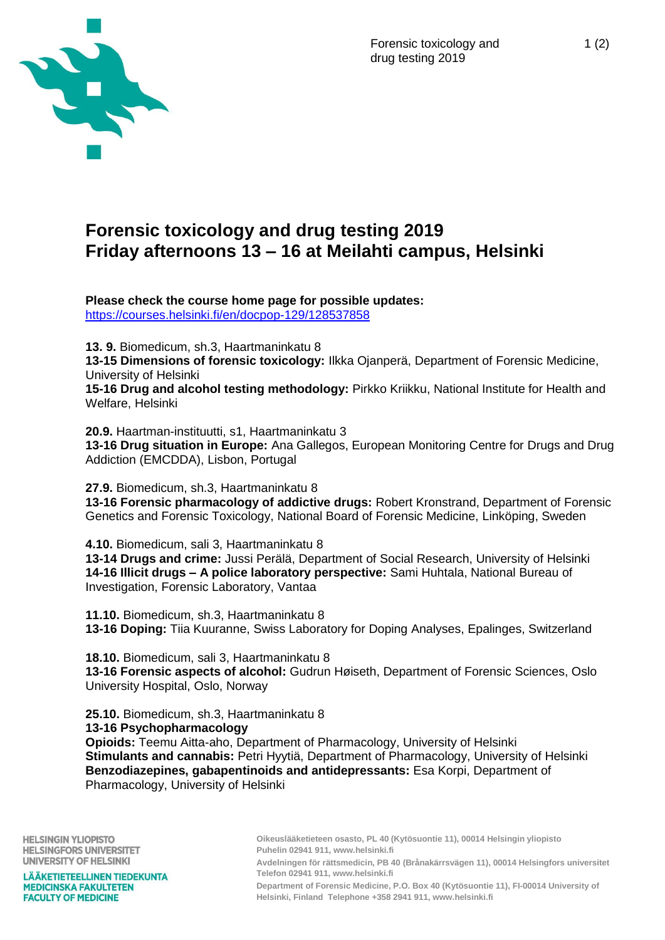

# **Forensic toxicology and drug testing 2019 Friday afternoons 13 – 16 at Meilahti campus, Helsinki**

**Please check the course home page for possible updates:** <https://courses.helsinki.fi/en/docpop-129/128537858>

**13. 9.** Biomedicum, sh.3, Haartmaninkatu 8

**13-15 Dimensions of forensic toxicology:** Ilkka Ojanperä, Department of Forensic Medicine, University of Helsinki

**15-16 Drug and alcohol testing methodology:** Pirkko Kriikku, National Institute for Health and Welfare, Helsinki

**20.9.** Haartman-instituutti, s1, Haartmaninkatu 3 **13-16 Drug situation in Europe:** Ana Gallegos, European Monitoring Centre for Drugs and Drug Addiction (EMCDDA), Lisbon, Portugal

**27.9.** Biomedicum, sh.3, Haartmaninkatu 8

**13-16 Forensic pharmacology of addictive drugs:** Robert Kronstrand, Department of Forensic Genetics and Forensic Toxicology, National Board of Forensic Medicine, Linköping, Sweden

**4.10.** Biomedicum, sali 3, Haartmaninkatu 8 **13-14 Drugs and crime:** Jussi Perälä, Department of Social Research, University of Helsinki **14-16 Illicit drugs – A police laboratory perspective:** Sami Huhtala, National Bureau of Investigation, Forensic Laboratory, Vantaa

**11.10.** Biomedicum, sh.3, Haartmaninkatu 8 **13-16 Doping:** Tiia Kuuranne, Swiss Laboratory for Doping Analyses, Epalinges, Switzerland

**18.10.** Biomedicum, sali 3, Haartmaninkatu 8 **13-16 Forensic aspects of alcohol:** Gudrun Høiseth, Department of Forensic Sciences, Oslo University Hospital, Oslo, Norway

**25.10.** Biomedicum, sh.3, Haartmaninkatu 8 **13-16 Psychopharmacology Opioids:** Teemu Aitta-aho, Department of Pharmacology, University of Helsinki **Stimulants and cannabis:** Petri Hyytiä, Department of Pharmacology, University of Helsinki **Benzodiazepines, gabapentinoids and antidepressants:** Esa Korpi, Department of Pharmacology, University of Helsinki

**HELSINGIN YLIOPISTO HELSINGFORS UNIVERSITET** UNIVERSITY OF HELSINKI

**LÄÄKETIETEELLINEN TIEDEKUNTA MEDICINSKA FAKULTETEN FACULTY OF MEDICINE** 

**Oikeuslääketieteen osasto, PL 40 (Kytösuontie 11), 00014 Helsingin yliopisto Puhelin 02941 911, www.helsinki.fi Avdelningen för rättsmedicin, PB 40 (Brånakärrsvägen 11), 00014 Helsingfors universitet**

**Telefon 02941 911, www.helsinki.fi**

**Department of Forensic Medicine, P.O. Box 40 (Kytösuontie 11), FI-00014 University of Helsinki, Finland Telephone +358 2941 911, www.helsinki.fi**